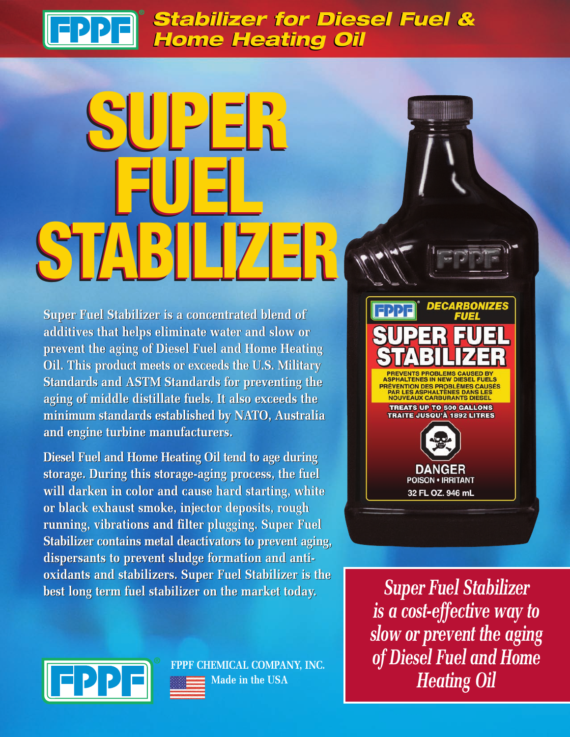### *Stabilizer for Diesel Fuel & Stabilizer for Diesel Fuel & Home Heating Oil Home Heating Oil*

# **SUPER SUPER SUPER FUEL STABILIZER FUEL STABILIZER FUEL STABILIZER**

**Super Fuel Stabilizer is a concentrated blend of Super Fuel Stabilizer is a concentrated blend of additives that helps eliminate water and slow or additives that helps eliminate water and slow or prevent the aging of Diesel Fuel and Home Heating prevent the aging of Diesel Fuel and Home Heating Oil. This product meets or exceeds the U.S. Military Oil. This product meets or exceeds the U.S. Military Standards and ASTM Standards for preventing the Standards and ASTM Standards for preventing the aging of middle distillate fuels. It also exceeds the aging of middle distillate fuels. It also exceeds the minimum standards established by NATO, Australia minimum standards established by NATO, Australia and engine turbine manufacturers. and engine turbine manufacturers.**

**Diesel Fuel and Home Heating Oil tend to age during Diesel Fuel and Home Heating Oil tend to age during storage. During this storage-aging process, the fuel storage. During this storage-aging process, the fuel will darken in color and cause hard starting, white will darken in color and cause hard starting, white or black exhaust smoke, injector deposits, rough or black exhaust smoke, injector deposits, rough running, vibrations and filter plugging. Super Fuel running, vibrations and filter plugging. Super Fuel Stabilizer contains metal deactivators to prevent aging, Stabilizer contains metal deactivators to prevent aging, dispersants to prevent sludge formation and anti-dispersants to prevent sludge formation and antioxidants and stabilizers. Super Fuel Stabilizer is the oxidants and stabilizers. Super Fuel Stabilizer is the best long term fuel stabilizer on the market today. best long term fuel stabilizer on the market today.**



*Super Fuel Stabilizer is a cost-effective way to slow or prevent the aging of Diesel Fuel and Home Heating Oil*